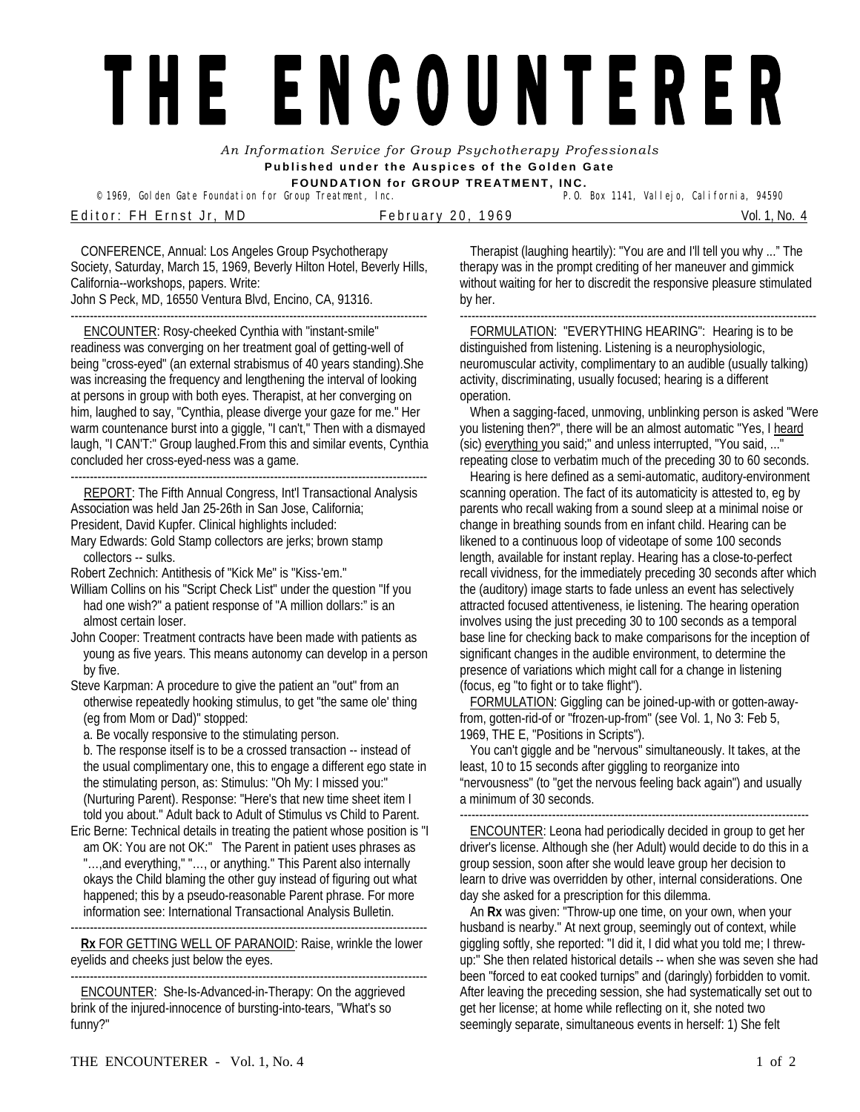## THE ENCOUNTERER

*An Information Service for Group Psychotherapy Professionals*  **Published under the Auspices of the Golden Gate FOUNDATION for GROUP TREATMENT, INC.** 

© 1969, Golden Gate Foundation for Group Treatment, Inc. E ditor: FH Ernst Jr, MD February 20, 1969 Nol. 1, No. 4

CONFERENCE, Annual: Los Angeles Group Psychotherapy Society, Saturday, March 15, 1969, Beverly Hilton Hotel, Beverly Hills, California--workshops, papers. Write: John S Peck, MD, 16550 Ventura Blvd, Encino, CA, 91316.

--------------------------------------------------------------------------------------------- ENCOUNTER: Rosy-cheeked Cynthia with "instant-smile" readiness was converging on her treatment goal of getting-well of being "cross-eyed" (an external strabismus of 40 years standing).She was increasing the frequency and lengthening the interval of looking at persons in group with both eyes. Therapist, at her converging on him, laughed to say, "Cynthia, please diverge your gaze for me." Her warm countenance burst into a giggle, "I can't," Then with a dismayed laugh, "I CAN'T:" Group laughed.From this and similar events, Cynthia concluded her cross-eyed-ness was a game.

--------------------------------------------------------------------------------------------- REPORT: The Fifth Annual Congress, Int'l Transactional Analysis Association was held Jan 25-26th in San Jose, California; President, David Kupfer. Clinical highlights included:

Mary Edwards: Gold Stamp collectors are jerks; brown stamp collectors -- sulks.

Robert Zechnich: Antithesis of "Kick Me" is "Kiss-'em."

William Collins on his "Script Check List" under the question "If you had one wish?" a patient response of "A million dollars:" is an almost certain loser.

John Cooper: Treatment contracts have been made with patients as young as five years. This means autonomy can develop in a person by five.

Steve Karpman: A procedure to give the patient an "out" from an otherwise repeatedly hooking stimulus, to get "the same ole' thing (eg from Mom or Dad)" stopped:

a. Be vocally responsive to the stimulating person.

b. The response itself is to be a crossed transaction -- instead of the usual complimentary one, this to engage a different ego state in the stimulating person, as: Stimulus: "Oh My: I missed you:" (Nurturing Parent). Response: "Here's that new time sheet item I told you about." Adult back to Adult of Stimulus vs Child to Parent.

Eric Berne: Technical details in treating the patient whose position is "I am OK: You are not OK:" The Parent in patient uses phrases as "..., and everything," "..., or anything." This Parent also internally okays the Child blaming the other guy instead of figuring out what happened; this by a pseudo-reasonable Parent phrase. For more information see: International Transactional Analysis Bulletin.

--------------------------------------------------------------------------------------------- **Rx** FOR GETTING WELL OF PARANOID: Raise, wrinkle the lower eyelids and cheeks just below the eyes.

--------------------------------------------------------------------------------------------- ENCOUNTER: She-Is-Advanced-in-Therapy: On the aggrieved brink of the injured-innocence of bursting-into-tears, "What's so funny?"

Therapist (laughing heartily): "You are and I'll tell you why ..." The therapy was in the prompt crediting of her maneuver and gimmick without waiting for her to discredit the responsive pleasure stimulated by her.

--------------------------------------------------------------------------------------------- FORMULATION: "EVERYTHING HEARING": Hearing is to be distinguished from listening. Listening is a neurophysiologic, neuromuscular activity, complimentary to an audible (usually talking) activity, discriminating, usually focused; hearing is a different operation.

When a sagging-faced, unmoving, unblinking person is asked "Were you listening then?", there will be an almost automatic "Yes, I heard (sic) everything you said;" and unless interrupted, "You said, ..." repeating close to verbatim much of the preceding 30 to 60 seconds.

Hearing is here defined as a semi-automatic, auditory-environment scanning operation. The fact of its automaticity is attested to, eg by parents who recall waking from a sound sleep at a minimal noise or change in breathing sounds from en infant child. Hearing can be likened to a continuous loop of videotape of some 100 seconds length, available for instant replay. Hearing has a close-to-perfect recall vividness, for the immediately preceding 30 seconds after which the (auditory) image starts to fade unless an event has selectively attracted focused attentiveness, ie listening. The hearing operation involves using the just preceding 30 to 100 seconds as a temporal base line for checking back to make comparisons for the inception of significant changes in the audible environment, to determine the presence of variations which might call for a change in listening (focus, eg "to fight or to take flight").

FORMULATION: Giggling can be joined-up-with or gotten-awayfrom, gotten-rid-of or "frozen-up-from" (see Vol. 1, No 3: Feb 5, 1969, THE E, "Positions in Scripts").

You can't giggle and be "nervous" simultaneously. It takes, at the least, 10 to 15 seconds after giggling to reorganize into "nervousness" (to "get the nervous feeling back again") and usually a minimum of 30 seconds.

ENCOUNTER: Leona had periodically decided in group to get her driver's license. Although she (her Adult) would decide to do this in a group session, soon after she would leave group her decision to learn to drive was overridden by other, internal considerations. One day she asked for a prescription for this dilemma.

An **Rx** was given: "Throw-up one time, on your own, when your husband is nearby." At next group, seemingly out of context, while giggling softly, she reported: "I did it, I did what you told me; I threwup:" She then related historical details -- when she was seven she had been "forced to eat cooked turnips" and (daringly) forbidden to vomit. After leaving the preceding session, she had systematically set out to get her license; at home while reflecting on it, she noted two seemingly separate, simultaneous events in herself: 1) She felt